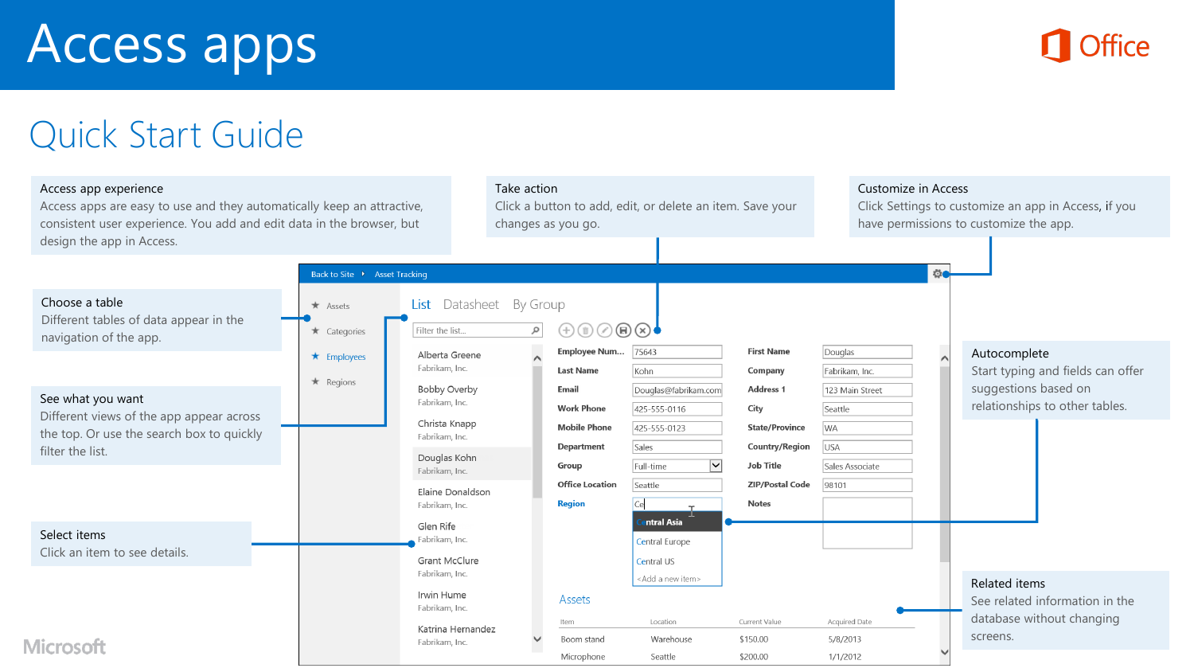# Access apps



# Quick Start Guide

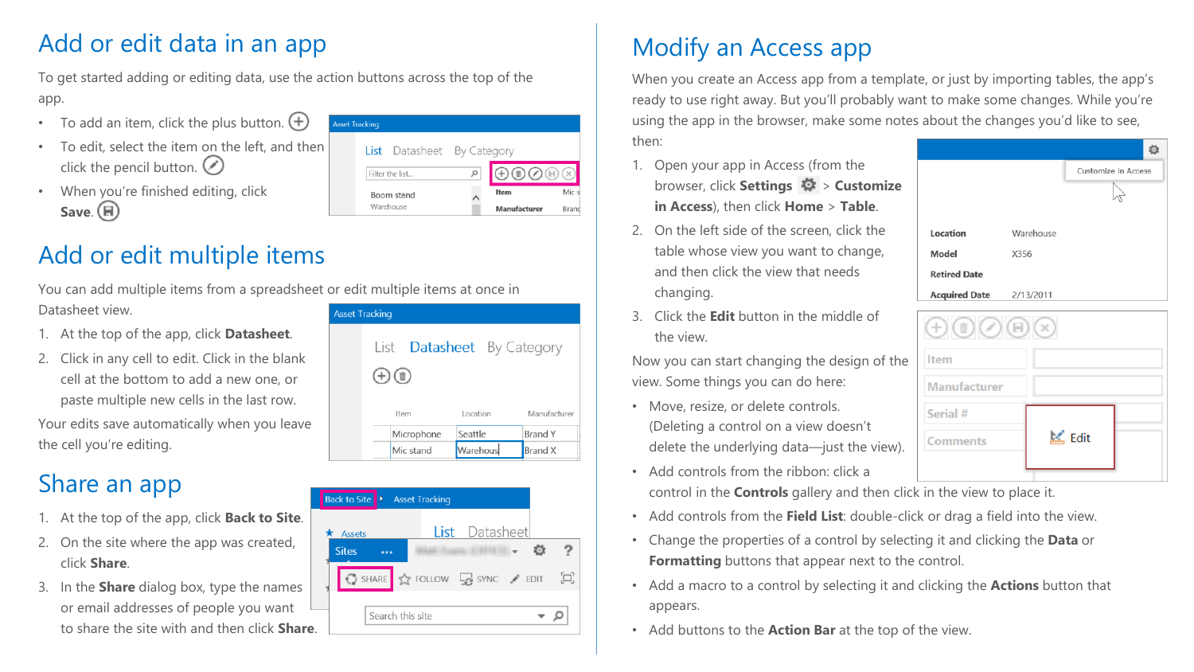## Add or edit data in an app

To get started adding or editing data, use the action buttons across the top of the app.

- To add an item, click the plus button.  $(+)$
- To edit, select the item on the left, and then click the pencil button.  $\bigcirc$
- When you're finished editing, click **Save.** (日)



#### Add or edit multiple items

You can add multiple items from a spreadsheet or edit multiple items at once in Datasheet view.

- 1. At the top of the app, click **Datasheet**.
- 2. Click in any cell to edit. Click in the blank cell at the bottom to add a new one, or paste multiple new cells in the last row. Your edits save automatically when you leave the cell you're editing.

## Share an app

- 1. At the top of the app, click **Back to Site**.
- 2. On the site where the app was created, click **Share**.
- 3. In the **Share** dialog box, type the names or email addresses of people you want to share the site with and then click **Share**.

| et Tracking |              |            |                                   |                |  |
|-------------|--------------|------------|-----------------------------------|----------------|--|
|             |              |            | List <b>Datasheet</b> By Category |                |  |
|             | $(\pm)$ (ii) |            |                                   |                |  |
|             |              | Item       | Location                          | Manufacturer   |  |
|             |              | Microphone | Seattle                           | <b>Brand Y</b> |  |
|             |              | Mic stand  | Warehous                          | <b>Brand X</b> |  |

| Back to Site  | <b>Asset Tracking</b>                                                         |  |
|---------------|-------------------------------------------------------------------------------|--|
| <b>Assets</b> | List Datasheet                                                                |  |
| <b>Sites</b>  |                                                                               |  |
|               | $\bigcirc$ share $\bigcirc$ follow $\bigcirc$ sync $\bigcirc$ edit $\bigcirc$ |  |
| 'е.           | Search this site                                                              |  |

# Modify an Access app

When you create an Access app from a template, or just by importing tables, the app's ready to use right away. But you'll probably want to make some changes. While you're using the app in the browser, make some notes about the changes you'd like to see, then:

- 1. Open your app in Access (from the browser, click **Settings** > **Customize in Access**), then click **Home** > **Table**.
- 2. On the left side of the screen, click the table whose view you want to change, and then click the view that needs changing.
- 3. Click the **Edit** button in the middle of the view.

Now you can start changing the design of the view. Some things you can do here:

- Move, resize, or delete controls. (Deleting a control on a view doesn't delete the underlying data—just the view).
- Add controls from the ribbon: click a

control in the **Controls** gallery and then click in the view to place it.

- Add controls from the **Field List**: double-click or drag a field into the view.
- Change the properties of a control by selecting it and clicking the **Data** or **Formatting** buttons that appear next to the control.
- Add a macro to a control by selecting it and clicking the **Actions** button that appears.
- Add buttons to the **Action Bar** at the top of the view.

|                      |           | Customize in Access |
|----------------------|-----------|---------------------|
|                      |           |                     |
|                      |           |                     |
| Location             | Warehouse |                     |
| Model                | X356      |                     |
| <b>Retired Date</b>  |           |                     |
| <b>Acquired Date</b> | 2/13/2011 |                     |
|                      |           |                     |

| $\Theta(\mathbb{m})\mathbb{C}(\mathbb{m})\mathbb{R}$ |               |  |
|------------------------------------------------------|---------------|--|
| Item                                                 |               |  |
| <b>Manufacturer</b>                                  |               |  |
| Serial #                                             |               |  |
| <b>Comments</b>                                      | <b>M</b> Edit |  |
|                                                      |               |  |